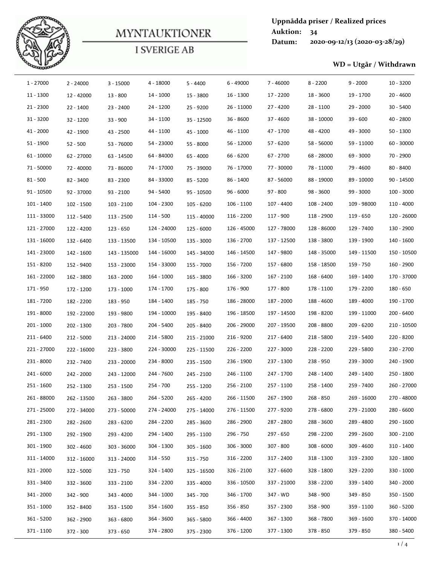

|                          |                           |                         | <b>MYNTAUKTIONER</b>     |                        |                          | <b>Auktion:</b>         | 34                       | Uppnådda priser / Realized prices |                          |
|--------------------------|---------------------------|-------------------------|--------------------------|------------------------|--------------------------|-------------------------|--------------------------|-----------------------------------|--------------------------|
|                          |                           |                         |                          |                        |                          | Datum:                  |                          | 2020-09-12/13 (2020-03-28/29)     |                          |
|                          |                           |                         | <b>I SVERIGE AB</b>      |                        |                          |                         |                          |                                   |                          |
|                          |                           |                         |                          |                        |                          |                         |                          | WD = Utgår / Withdrawn            |                          |
| 1 - 27000                | $2 - 24000$               | $3 - 15000$             | $4 - 18000$              | $5 - 4400$             | $6 - 49000$              | $7 - 46000$             | $8 - 2200$               | $9 - 2000$                        | $10 - 3200$              |
| 11 - 1300                | 12 - 42000                | $13 - 800$              | 14 - 1000                | 15 - 3800              | 16 - 1300                | 17 - 2200               | 18 - 3600                | 19 - 1700                         | $20 - 4600$              |
| $21 - 2300$              | $22 - 1400$               | $23 - 2400$             | 24 - 1200                | 25 - 9200              | 26 - 11000               | 27 - 4200               | 28 - 1100                | 29 - 2000                         | $30 - 5400$              |
| $31 - 3200$              | $32 - 1200$               | $33 - 900$              | 34 - 1100                | $35 - 12500$           | $36 - 8600$              | $37 - 4600$             | 38 - 10000               | $39 - 600$                        | $40 - 2800$              |
| $41 - 2000$              | 42 - 1900                 | 43 - 2500               | 44 - 1100                | 45 - 1000              | 46 - 1100                | 47 - 1700               | 48 - 4200                | 49 - 3000                         | $50 - 1300$              |
| $51 - 1900$              | $52 - 500$                | 53 - 76000              | 54 - 23000               | 55 - 8000              | 56 - 12000               | 57 - 6200               | 58 - 56000               | 59 - 11000                        | $60 - 30000$             |
| $61 - 10000$             | 62 - 27000                | 63 - 14500              | 64 - 84000               | 65 - 4000              | 66 - 6200                | $67 - 2700$             | 68 - 28000               | 69 - 3000                         | 70 - 2900                |
| 71 - 50000               | 72 - 40000                | 73 - 86000              | 74 - 17000               | 75 - 39000             | 76 - 17000               | 77 - 30000              | 78 - 11000               | 79 - 4600                         | 80 - 8400                |
| $81 - 500$               | 82 - 3400                 | 83 - 2300               | 84 - 33000               | 85 - 5200              | 86 - 1400                | 87 - 56000              | 88 - 19000               | 89 - 10000                        | 90 - 14500               |
| $91 - 10500$             | 92 - 37000                | $93 - 2100$             | 94 - 5400                | 95 - 10500             | $96 - 6000$              | 97 - 800                | 98 - 3600                | 99 - 3000                         | 100 - 3000               |
| 101 - 1400               | $102 - 1500$              | 103 - 2100              | 104 - 2300               | $105 - 6200$           | 106 - 1100               | 107 - 4400              | 108 - 2400               | 109 - 98000                       | 110 - 4000               |
| 111 - 33000              | 112 - 5400                | 113 - 2500              | 114 - 500                | 115 - 40000            | 116 - 2200               | 117 - 900               | 118 - 2900               | 119 - 650                         | 120 - 26000              |
| 121 - 27000              | 122 - 4200                | 123 - 650               | 124 - 24000              | 125 - 6000             | 126 - 45000              | 127 - 78000             | 128 - 86000              | 129 - 7400                        | 130 - 2900               |
| 131 - 16000              | 132 - 6400                | 133 - 13500             | 134 - 10500              | 135 - 3000             | 136 - 2700               | 137 - 12500             | 138 - 3800               | 139 - 1900                        | 140 - 1600               |
| 141 - 23000              | 142 - 1600                | 143 - 135000            | 144 - 16000              | 145 - 34000            | 146 - 14500              | 147 - 9800              | 148 - 35000              | 149 - 11500                       | 150 - 10500              |
| 151 - 8200               | 152 - 9400                | 153 - 23000             | 154 - 33000              | 155 - 7000             | 156 - 7200               | 157 - 6800              | 158 - 18500              | 159 - 750                         | 160 - 2900               |
| 161 - 22000<br>171 - 950 | 162 - 3800                | 163 - 2000              | 164 - 1000<br>174 - 1700 | 165 - 3800             | 166 - 3200               | 167 - 2100<br>177 - 800 | 168 - 6400               | 169 - 1400<br>179 - 2200          | 170 - 37000<br>180 - 650 |
| 181 - 7200               | 172 - 1200                | 173 - 1000              | 184 - 1400               | 175 - 800<br>185 - 750 | 176 - 900<br>186 - 28000 | 187 - 2000              | 178 - 1100<br>188 - 4600 | 189 - 4000                        | 190 - 1700               |
| 191 - 8000               | 182 - 2200<br>192 - 22000 | 183 - 950<br>193 - 9800 | 194 - 10000              | 195 - 8400             | 196 - 18500              | 197 - 14500             | 198 - 8200               | 199 - 11000                       | 200 - 6400               |
| $201 - 1000$             | 202 - 1300                | 203 - 7800              | 204 - 5400               | 205 - 8400             | 206 - 29000              | 207 - 19500             | 208 - 8800               | 209 - 6200                        | 210 - 10500              |
| 211 - 6400               | 212 - 5000                | 213 - 24000             | 214 - 5800               | 215 - 21000            | 216 - 9200               | 217 - 6400              | 218 - 5800               | 219 - 5400                        | 220 - 8200               |
| 221 - 27000              | 222 - 16000               | 223 - 3800              | 224 - 30000              | 225 - 11500            | 226 - 2200               | 227 - 3000              | 228 - 2200               | 229 - 5800                        | 230 - 2700               |
| 231 - 8000               | 232 - 7400                | 233 - 20000             | 234 - 8000               | 235 - 1500             | 236 - 1900               | 237 - 1300              | 238 - 950                | 239 - 3000                        | 240 - 1900               |
| 241 - 6000               | 242 - 2000                | 243 - 12000             | 244 - 7600               | 245 - 2100             | 246 - 1100               | 247 - 1700              | 248 - 1400               | 249 - 1400                        | 250 - 1800               |
| 251 - 1600               | 252 - 1300                | 253 - 1500              | 254 - 700                | 255 - 1200             | 256 - 2100               | 257 - 1100              | 258 - 1400               | 259 - 7400                        | 260 - 27000              |
| 261 - 88000              | 262 - 13500               | 263 - 3800              | 264 - 5200               | 265 - 4200             | 266 - 11500              | 267 - 1900              | 268 - 850                | 269 - 16000                       | 270 - 48000              |
| 271 - 25000              | 272 - 34000               | 273 - 50000             | 274 - 24000              | 275 - 14000            | 276 - 11500              | 277 - 9200              | 278 - 6800               | 279 - 21000                       | 280 - 6600               |
| 281 - 2300               | 282 - 2600                | 283 - 6200              | 284 - 2200               | 285 - 3600             | 286 - 2900               | 287 - 2800              | 288 - 3600               | 289 - 4800                        | 290 - 1600               |
| 291 - 1300               | 292 - 1900                | 293 - 4200              | 294 - 1400               | 295 - 1100             | 296 - 750                | 297 - 650               | 298 - 2200               | 299 - 2600                        | $300 - 2100$             |
| 301 - 1900               | $302 - 4600$              | 303 - 36000             | 304 - 1300               | $305 - 1600$           | 306 - 3000               | 307 - 800               | $308 - 6000$             | $309 - 4600$                      | 310 - 1400               |
| 311 - 14000              | 312 - 16000               | 313 - 24000             | $314 - 550$              | $315 - 750$            | 316 - 2200               | 317 - 2400              | 318 - 1300               | 319 - 2300                        | 320 - 1800               |
| 321 - 2000               | 322 - 5000                | 323 - 750               | 324 - 1400               | 325 - 16500            | 326 - 2100               | 327 - 6600              | 328 - 1800               | 329 - 2200                        | 330 - 1000               |
| 331 - 3400               | 332 - 3600                | 333 - 2100              | 334 - 2200               | 335 - 4000             | 336 - 10500              | 337 - 21000             | 338 - 2200               | 339 - 1400                        | 340 - 2000               |
| 341 - 2000               | 342 - 900                 | 343 - 4000              | 344 - 1000               | 345 - 700              | 346 - 1700               | 347 - WD                | 348 - 900                | 349 - 850                         | 350 - 1500               |
| 351 - 1000               | 352 - 8400                | 353 - 1500              | 354 - 1600               | $355 - 850$            | 356 - 850                | 357 - 2300              | 358 - 900                | 359 - 1100                        | 360 - 5200               |
| 361 - 5200               | 362 - 2900                | 363 - 6800              | 364 - 3600               | 365 - 5800             | 366 - 4400               | 367 - 1300              | 368 - 7800               | 369 - 1600                        | 370 - 14000              |
| 371 - 1100               | 372 - 300                 | $373 - 650$             | 374 - 2800               | 375 - 2300             | 376 - 1200               | 377 - 1300              | 378 - 850                | 379 - 850                         | 380 - 5400               |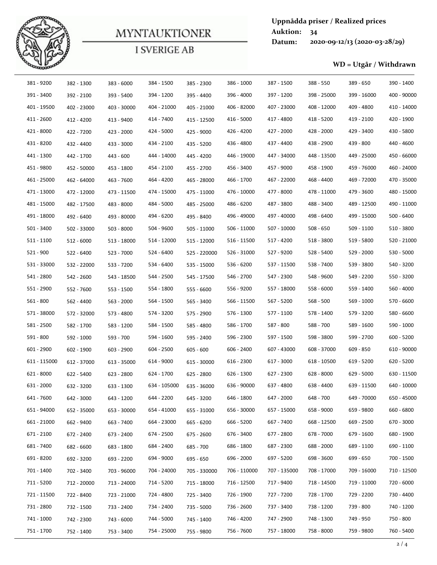

| 381 - 9200<br>391 - 3400<br>411 - 2600<br>421 - 8000<br>431 - 8200<br>441 - 1300<br>451 - 9800 | 401 - 19500                | 382 - 1300                |                             | <b>MYNTAUKTIONER</b><br><b>I SVERIGE AB</b> |                              |                           | <b>Auktion:</b>           | 34                       |                               |                           |
|------------------------------------------------------------------------------------------------|----------------------------|---------------------------|-----------------------------|---------------------------------------------|------------------------------|---------------------------|---------------------------|--------------------------|-------------------------------|---------------------------|
|                                                                                                |                            |                           |                             |                                             |                              |                           | Datum:                    |                          | 2020-09-12/13 (2020-03-28/29) |                           |
|                                                                                                |                            |                           |                             |                                             |                              |                           |                           |                          |                               |                           |
|                                                                                                |                            |                           |                             |                                             |                              |                           |                           |                          | WD = Utgår / Withdrawn        |                           |
|                                                                                                |                            |                           | 383 - 6000                  | 384 - 1500                                  | 385 - 2300                   | 386 - 1000                | 387 - 1500                | 388 - 550                | 389 - 650                     | 390 - 1400                |
|                                                                                                |                            | 392 - 2100                | 393 - 5400                  | 394 - 1200                                  | 395 - 4400                   | 396 - 4000                | 397 - 1200                | 398 - 25000              | 399 - 16000                   | 400 - 90000               |
|                                                                                                |                            | 402 - 23000               | 403 - 30000                 | 404 - 21000                                 | 405 - 21000                  | 406 - 82000               | 407 - 23000               | 408 - 12000              | 409 - 4800                    | 410 - 14000               |
|                                                                                                |                            | 412 - 4200                | 413 - 9400                  | 414 - 7400                                  | 415 - 12500                  | 416 - 5000                | 417 - 4800                | 418 - 5200               | 419 - 2100                    | 420 - 1900                |
|                                                                                                |                            | 422 - 7200                | 423 - 2000                  | 424 - 5000                                  | 425 - 9000                   | 426 - 4200                | 427 - 2000                | 428 - 2000               | 429 - 3400                    | 430 - 5800                |
|                                                                                                |                            | 432 - 4400                | 433 - 3000                  | 434 - 2100                                  | 435 - 5200                   | 436 - 4800                | 437 - 4400                | 438 - 2900               | 439 - 800                     | 440 - 4600                |
|                                                                                                |                            | 442 - 1700                | 443 - 600                   | 444 - 14000                                 | 445 - 4200                   | 446 - 19000               | 447 - 34000               | 448 - 13500              | 449 - 25000                   | 450 - 66000               |
|                                                                                                |                            | 452 - 50000               | 453 - 1800                  | 454 - 2100                                  | 455 - 2700                   | 456 - 3400                | 457 - 9000                | 458 - 1900               | 459 - 76000                   | 460 - 24000               |
|                                                                                                | 461 - 25000                | 462 - 64000               | 463 - 7600                  | 464 - 4200                                  | 465 - 28000                  | 466 - 1700                | 467 - 22000               | 468 - 4400               | 469 - 72000                   | 470 - 35000               |
|                                                                                                | 471 - 13000                | 472 - 12000               | 473 - 11500                 | 474 - 15000                                 | 475 - 11000                  | 476 - 10000               | 477 - 8000                | 478 - 11000              | 479 - 3600                    | 480 - 15000               |
|                                                                                                | 481 - 15000<br>491 - 18000 | 482 - 17500               | 483 - 8000                  | 484 - 5000<br>494 - 6200                    | 485 - 25000                  | 486 - 6200<br>496 - 49000 | 487 - 3800<br>497 - 40000 | 488 - 3400<br>498 - 6400 | 489 - 12500<br>499 - 15000    | 490 - 11000<br>500 - 6400 |
| $501 - 3400$                                                                                   |                            | 492 - 6400                | 493 - 80000                 | 504 - 9600                                  | 495 - 8400                   | 506 - 11000               | 507 - 10000               | $508 - 650$              | $509 - 1100$                  | 510 - 3800                |
| $511 - 1100$                                                                                   |                            | 502 - 33000<br>512 - 6000 | $503 - 8000$<br>513 - 18000 | 514 - 12000                                 | 505 - 11000<br>$515 - 12000$ | 516 - 11500               | 517 - 4200                | 518 - 3800               | 519 - 5800                    | 520 - 21000               |
| 521 - 900                                                                                      |                            | 522 - 6400                | 523 - 7000                  | 524 - 6400                                  | 525 - 220000                 | 526 - 31000               | 527 - 9200                | 528 - 5400               | 529 - 2000                    | 530 - 5000                |
|                                                                                                | 531 - 33000                | 532 - 22000               | 533 - 7200                  | 534 - 6400                                  | 535 - 15000                  | 536 - 6200                | 537 - 11500               | 538 - 7400               | 539 - 3800                    | 540 - 3200                |
| 541 - 2800                                                                                     |                            | 542 - 2600                | 543 - 18500                 | 544 - 2500                                  | 545 - 17500                  | 546 - 2700                | 547 - 2300                | 548 - 9600               | 549 - 2200                    | 550 - 3200                |
| 551 - 2900                                                                                     |                            | 552 - 7600                | 553 - 1500                  | 554 - 1800                                  | 555 - 6600                   | 556 - 9200                | 557 - 18000               | 558 - 6000               | 559 - 1400                    | 560 - 4000                |
| 561 - 800                                                                                      |                            | 562 - 4400                | 563 - 2000                  | 564 - 1500                                  | 565 - 3400                   | 566 - 11500               | 567 - 5200                | 568 - 500                | 569 - 1000                    | 570 - 6600                |
|                                                                                                | 571 - 38000                | 572 - 32000               | 573 - 4800                  | 574 - 3200                                  | 575 - 2900                   | 576 - 1300                | 577 - 1100                | 578 - 1400               | 579 - 3200                    | 580 - 6600                |
| 581 - 2500                                                                                     |                            | 582 - 1700                | 583 - 1200                  | 584 - 1500                                  | 585 - 4800                   | 586 - 1700                | 587 - 800                 | 588 - 700                | 589 - 1600                    | 590 - 1000                |
| 591 - 800                                                                                      |                            | 592 - 1000                | 593 - 700                   | 594 - 1600                                  | 595 - 2400                   | 596 - 2300                | 597 - 1500                | 598 - 3800               | 599 - 2700                    | $600 - 5200$              |
| 601 - 2900                                                                                     |                            | 602 - 1900                | 603 - 2900                  | 604 - 2500                                  | $605 - 600$                  | $606 - 2400$              | 607 - 43000               | 608 - 37000              | 609 - 850                     | 610 - 90000               |
|                                                                                                | 611 - 115000               | 612 - 37000               | 613 - 35000                 | 614 - 9000                                  | 615 - 30000                  | 616 - 2300                | 617 - 3000                | 618 - 10500              | 619 - 5200                    | 620 - 5200                |
| 621 - 8000                                                                                     |                            | 622 - 5400                | 623 - 2800                  | 624 - 1700                                  | 625 - 2800                   | 626 - 1300                | 627 - 2300                | 628 - 8000               | 629 - 5000                    | 630 - 11500               |
| 631 - 2000                                                                                     |                            | 632 - 3200                | 633 - 1300                  | 634 - 105000                                | 635 - 36000                  | 636 - 90000               | 637 - 4800                | 638 - 4400               | 639 - 11500                   | 640 - 10000               |
| 641 - 7600                                                                                     |                            | 642 - 3000                | 643 - 1200                  | 644 - 2200                                  | 645 - 3200                   | 646 - 1800                | 647 - 2000                | 648 - 700                | 649 - 70000                   | 650 - 45000               |
|                                                                                                | 651 - 94000                | 652 - 35000               | 653 - 30000                 | 654 - 41000                                 | 655 - 31000                  | 656 - 30000               | 657 - 15000               | 658 - 9000               | 659 - 9800                    | 660 - 6800                |
|                                                                                                | 661 - 21000                | 662 - 9400                | 663 - 7400                  | 664 - 23000                                 | 665 - 6200                   | 666 - 5200                | 667 - 7400                | 668 - 12500              | 669 - 2500                    | 670 - 3000                |
| 671 - 2100                                                                                     |                            | 672 - 2400                | 673 - 2400                  | 674 - 2500                                  | 675 - 2600                   | 676 - 3400                | 677 - 2800                | 678 - 7000               | 679 - 1600                    | 680 - 1900                |
| 681 - 7400                                                                                     |                            | 682 - 6600                | 683 - 1800                  | 684 - 2400                                  | 685 - 700                    | 686 - 1800                | 687 - 2300                | 688 - 2000               | 689 - 1100                    | 690 - 1100                |
| 691 - 8200                                                                                     |                            | 692 - 3200                | 693 - 2200                  | 694 - 9000                                  | 695 - 650                    | 696 - 2000                | 697 - 5200                | 698 - 3600               | 699 - 650                     | 700 - 1500                |
| 701 - 1400                                                                                     |                            | 702 - 3400                | 703 - 96000                 | 704 - 24000                                 | 705 - 330000                 | 706 - 110000              | 707 - 135000              | 708 - 17000              | 709 - 16000                   | 710 - 12500               |
| 711 - 5200                                                                                     |                            | 712 - 20000               | 713 - 24000                 | 714 - 5200                                  | 715 - 18000                  | 716 - 12500               | 717 - 9400                | 718 - 14500              | 719 - 11000                   | 720 - 6000                |
|                                                                                                | 721 - 11500                | 722 - 8400                | 723 - 21000                 | 724 - 4800                                  | 725 - 3400                   | 726 - 1900                | 727 - 7200                | 728 - 1700               | 729 - 2200                    | 730 - 4400                |
| 731 - 2800                                                                                     |                            | 732 - 1500                | 733 - 2400                  | 734 - 2400                                  | 735 - 5000                   | 736 - 2600                | 737 - 3400                | 738 - 1200               | 739 - 800                     | 740 - 1200                |
| 741 - 1000<br>751 - 1700                                                                       |                            | 742 - 2300<br>752 - 1400  | 743 - 6000<br>753 - 3400    | 744 - 5000<br>754 - 25000                   | 745 - 1400<br>755 - 9800     | 746 - 4200<br>756 - 7600  | 747 - 2900<br>757 - 18000 | 748 - 1300<br>758 - 8000 | 749 - 950<br>759 - 9800       | 750 - 800<br>760 - 5400   |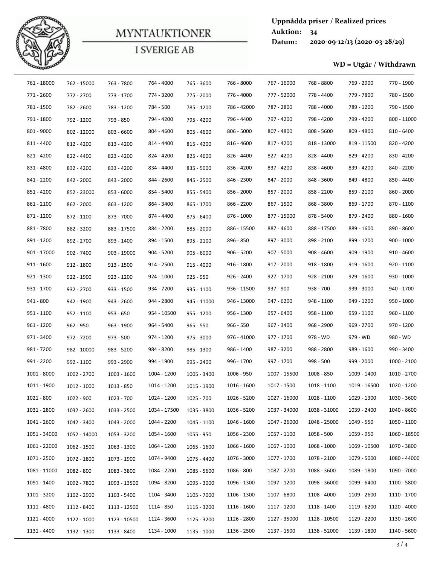

|              |              |              | <b>MYNTAUKTIONER</b> |              |              | <b>Auktion:</b> | Uppnådda priser / Realized prices<br>34 |                               |              |
|--------------|--------------|--------------|----------------------|--------------|--------------|-----------------|-----------------------------------------|-------------------------------|--------------|
|              |              |              |                      |              |              | Datum:          |                                         | 2020-09-12/13 (2020-03-28/29) |              |
|              |              |              | <b>I SVERIGE AB</b>  |              |              |                 |                                         |                               |              |
|              |              |              |                      |              |              |                 |                                         | WD = Utgår / Withdrawn        |              |
| 761 - 18000  | 762 - 15000  | 763 - 7800   | 764 - 4000           | 765 - 3600   | 766 - 8000   | 767 - 16000     | 768 - 8800                              | 769 - 2900                    | 770 - 1900   |
| 771 - 2600   | 772 - 2700   | 773 - 1700   | 774 - 3200           | 775 - 2000   | 776 - 4000   | 777 - 52000     | 778 - 4400                              | 779 - 7800                    | 780 - 1500   |
| 781 - 1500   | 782 - 2600   | 783 - 1200   | 784 - 500            | 785 - 1200   | 786 - 42000  | 787 - 2800      | 788 - 4000                              | 789 - 1200                    | 790 - 1500   |
| 791 - 1800   | 792 - 1200   | 793 - 850    | 794 - 4200           | 795 - 4200   | 796 - 4400   | 797 - 4200      | 798 - 4200                              | 799 - 4200                    | 800 - 11000  |
| 801 - 9000   | 802 - 12000  | 803 - 6600   | 804 - 4600           | 805 - 4600   | $806 - 5000$ | 807 - 4800      | 808 - 5600                              | 809 - 4800                    | 810 - 6400   |
| 811 - 4400   | 812 - 4200   | 813 - 4200   | 814 - 4400           | $815 - 4200$ | 816 - 4600   | 817 - 4200      | 818 - 13000                             | 819 - 11500                   | 820 - 4200   |
| 821 - 4200   | 822 - 4400   | 823 - 4200   | 824 - 4200           | 825 - 4600   | 826 - 4400   | 827 - 4200      | 828 - 4400                              | 829 - 4200                    | 830 - 4200   |
| 831 - 4800   | 832 - 4200   | 833 - 4200   | 834 - 4400           | 835 - 5000   | 836 - 4200   | 837 - 4200      | 838 - 4600                              | 839 - 4200                    | 840 - 2200   |
| 841 - 2200   | 842 - 2000   | 843 - 2000   | 844 - 2600           | 845 - 2500   | 846 - 2300   | 847 - 2000      | 848 - 3600                              | 849 - 4800                    | 850 - 4400   |
| 851 - 4200   | 852 - 23000  | 853 - 6000   | 854 - 5400           | 855 - 5400   | 856 - 2000   | 857 - 2000      | 858 - 2200                              | 859 - 2100                    | 860 - 2000   |
| 861 - 2100   | 862 - 2000   | 863 - 1200   | 864 - 3400           | 865 - 1700   | 866 - 2200   | 867 - 1500      | 868 - 3800                              | 869 - 1700                    | 870 - 1100   |
| 871 - 1200   | 872 - 1100   | 873 - 7000   | 874 - 4400           | 875 - 6400   | 876 - 1000   | 877 - 15000     | 878 - 5400                              | 879 - 2400                    | 880 - 1600   |
| 881 - 7800   | 882 - 3200   | 883 - 17500  | 884 - 2200           | 885 - 2000   | 886 - 15500  | 887 - 4600      | 888 - 17500                             | 889 - 1600                    | 890 - 8600   |
| 891 - 1200   | 892 - 2700   | 893 - 1400   | 894 - 1500           | 895 - 2100   | 896 - 850    | 897 - 3000      | 898 - 2100                              | 899 - 1200                    | $900 - 1000$ |
| 901 - 17000  | $902 - 7400$ | 903 - 19000  | $904 - 5200$         | $905 - 6000$ | $906 - 5200$ | $907 - 5000$    | 908 - 4600                              | 909 - 1900                    | $910 - 4600$ |
| $911 - 1600$ | 912 - 1800   | $913 - 1500$ | 914 - 2500           | $915 - 4000$ | $916 - 1800$ | $917 - 2000$    | 918 - 1800                              | $919 - 1600$                  | 920 - 1100   |
| 921 - 1300   | 922 - 1900   | 923 - 1200   | 924 - 1000           | $925 - 950$  | 926 - 2400   | 927 - 1700      | $928 - 2100$                            | $929 - 1600$                  | 930 - 1000   |
| 931 - 1700   | 932 - 2700   | 933 - 1500   | 934 - 7200           | 935 - 1100   | 936 - 11500  | 937 - 900       | 938 - 700                               | 939 - 3000                    | 940 - 1700   |
| 941 - 800    | 942 - 1900   | 943 - 2600   | 944 - 2800           | 945 - 11000  | 946 - 13000  | 947 - 6200      | 948 - 1100                              | 949 - 1200                    | $950 - 1000$ |
| 951 - 1100   | 952 - 1100   | $953 - 650$  | 954 - 10500          | 955 - 1200   | 956 - 1300   | 957 - 6400      | 958 - 1100                              | 959 - 1100                    | 960 - 1100   |
| 961 - 1200   | $962 - 950$  | 963 - 1900   | 964 - 5400           | $965 - 550$  | $966 - 550$  | 967 - 3400      | 968 - 2900                              | 969 - 2700                    | 970 - 1200   |
| 971 - 3400   | 972 - 7200   | $973 - 500$  | 974 - 1200           | 975 - 3000   | 976 - 41000  | 977 - 1700      | 978 - WD                                | 979 - WD                      | 980 - WD     |
| 981 - 7200   | 982 - 10000  | 983 - 5200   | 984 - 8200           | 985 - 1300   | 986 - 1400   | 987 - 3200      | 988 - 2800                              | 989 - 1600                    | 990 - 3400   |
| 991 - 2200   | 992 - 1100   | 993 - 2900   | 994 - 1900           | 995 - 2400   | 996 - 1700   | 997 - 1700      | 998 - 500                               | 999 - 2000                    | 1000 - 2100  |
| 1001 - 8000  | 1002 - 2700  | 1003 - 1600  | 1004 - 1200          | 1005 - 3400  | 1006 - 950   | 1007 - 15500    | 1008 - 850                              | 1009 - 1400                   | 1010 - 2700  |
| 1011 - 1900  | 1012 - 1000  | 1013 - 850   | 1014 - 1200          | 1015 - 1900  | 1016 - 1600  | 1017 - 1500     | 1018 - 1100                             | 1019 - 16500                  | 1020 - 1200  |
| 1021 - 800   | 1022 - 900   | 1023 - 700   | 1024 - 1200          | $1025 - 700$ | 1026 - 5200  | 1027 - 16000    | 1028 - 1100                             | 1029 - 1300                   | 1030 - 3600  |
| 1031 - 2800  | 1032 - 2600  | 1033 - 2500  | 1034 - 17500         | 1035 - 3800  | 1036 - 5200  | 1037 - 34000    | 1038 - 31000                            | 1039 - 2400                   | 1040 - 8600  |
| 1041 - 2600  | 1042 - 3400  | 1043 - 2000  | 1044 - 2200          | 1045 - 1100  | 1046 - 1600  | 1047 - 26000    | 1048 - 25000                            | 1049 - 550                    | 1050 - 1100  |
| 1051 - 34000 | 1052 - 14000 | 1053 - 3200  | 1054 - 1600          | 1055 - 950   | 1056 - 2300  | 1057 - 1100     | 1058 - 500                              | 1059 - 950                    | 1060 - 18500 |
| 1061 - 22000 | 1062 - 1500  | 1063 - 1300  | 1064 - 1200          | 1065 - 1600  | 1066 - 1600  | 1067 - 1000     | 1068 - 1000                             | 1069 - 10500                  | 1070 - 3800  |
| 1071 - 2500  | 1072 - 1800  | 1073 - 1900  | 1074 - 9400          | 1075 - 4400  | 1076 - 3000  | 1077 - 1700     | 1078 - 2100                             | 1079 - 5000                   | 1080 - 44000 |
| 1081 - 11000 | 1082 - 800   | 1083 - 3800  | 1084 - 2200          | 1085 - 5600  | 1086 - 800   | 1087 - 2700     | 1088 - 3600                             | 1089 - 1800                   | 1090 - 7000  |
| 1091 - 1400  | 1092 - 7800  | 1093 - 13500 | 1094 - 8200          | 1095 - 3000  | 1096 - 1300  | 1097 - 1200     | 1098 - 36000                            | 1099 - 6400                   | 1100 - 5800  |
| 1101 - 3200  | 1102 - 2900  | 1103 - 5400  | 1104 - 3400          | 1105 - 7000  | 1106 - 1300  | 1107 - 6800     | 1108 - 4000                             | 1109 - 2600                   | 1110 - 1700  |
| 1111 - 4800  | 1112 - 8400  | 1113 - 12500 | 1114 - 850           | 1115 - 3200  | 1116 - 1600  | 1117 - 1200     | 1118 - 1400                             | 1119 - 6200                   | 1120 - 4000  |
| 1121 - 4000  | 1122 - 1000  | 1123 - 10500 | 1124 - 3600          | 1125 - 3200  | 1126 - 2800  | 1127 - 35000    | 1128 - 10500                            | 1129 - 2200                   | 1130 - 2600  |
| 1131 - 4400  | 1132 - 1300  | 1133 - 8400  | 1134 - 1000          | 1135 - 1000  | 1136 - 2500  | 1137 - 1500     | 1138 - 52000                            | 1139 - 1800                   | 1140 - 5600  |